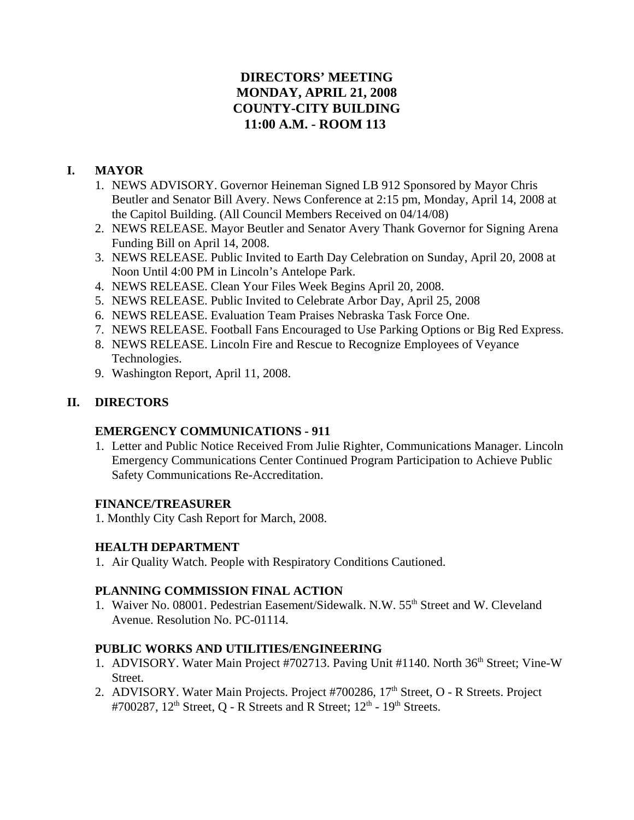# **DIRECTORS' MEETING MONDAY, APRIL 21, 2008 COUNTY-CITY BUILDING 11:00 A.M. - ROOM 113**

# **I. MAYOR**

- 1. NEWS ADVISORY. Governor Heineman Signed LB 912 Sponsored by Mayor Chris Beutler and Senator Bill Avery. News Conference at 2:15 pm, Monday, April 14, 2008 at the Capitol Building. (All Council Members Received on 04/14/08)
- 2. NEWS RELEASE. Mayor Beutler and Senator Avery Thank Governor for Signing Arena Funding Bill on April 14, 2008.
- 3. NEWS RELEASE. Public Invited to Earth Day Celebration on Sunday, April 20, 2008 at Noon Until 4:00 PM in Lincoln's Antelope Park.
- 4. NEWS RELEASE. Clean Your Files Week Begins April 20, 2008.
- 5. NEWS RELEASE. Public Invited to Celebrate Arbor Day, April 25, 2008
- 6. NEWS RELEASE. Evaluation Team Praises Nebraska Task Force One.
- 7. NEWS RELEASE. Football Fans Encouraged to Use Parking Options or Big Red Express.
- 8. NEWS RELEASE. Lincoln Fire and Rescue to Recognize Employees of Veyance Technologies.
- 9. Washington Report, April 11, 2008.

# **II. DIRECTORS**

# **EMERGENCY COMMUNICATIONS - 911**

1. Letter and Public Notice Received From Julie Righter, Communications Manager. Lincoln Emergency Communications Center Continued Program Participation to Achieve Public Safety Communications Re-Accreditation.

# **FINANCE/TREASURER**

1. Monthly City Cash Report for March, 2008.

# **HEALTH DEPARTMENT**

1. Air Quality Watch. People with Respiratory Conditions Cautioned.

# **PLANNING COMMISSION FINAL ACTION**

1. Waiver No. 08001. Pedestrian Easement/Sidewalk. N.W. 55th Street and W. Cleveland Avenue. Resolution No. PC-01114.

# **PUBLIC WORKS AND UTILITIES/ENGINEERING**

- 1. ADVISORY. Water Main Project #702713. Paving Unit #1140. North 36<sup>th</sup> Street; Vine-W Street.
- 2. ADVISORY. Water Main Projects. Project #700286, 17<sup>th</sup> Street, O R Streets. Project #700287,  $12<sup>th</sup>$  Street, O - R Streets and R Street;  $12<sup>th</sup>$  -  $19<sup>th</sup>$  Streets.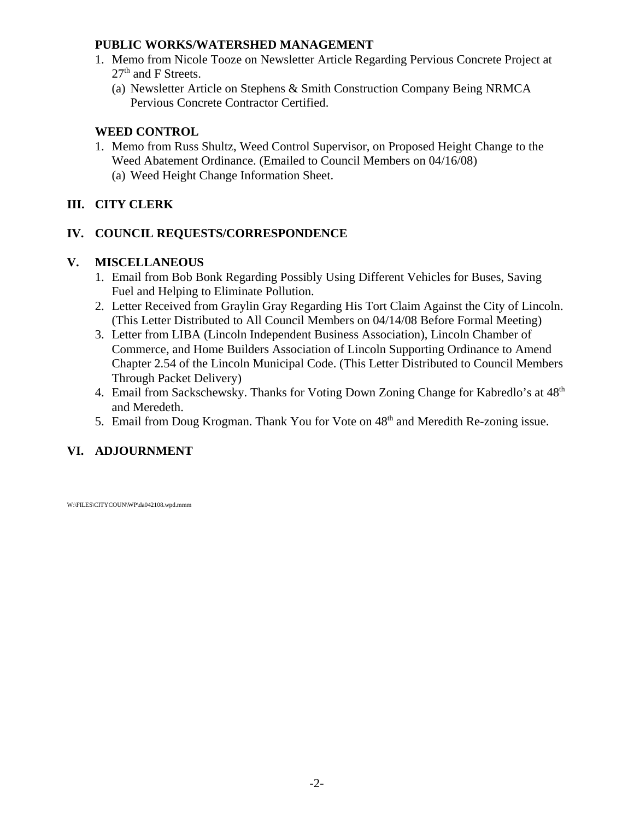# **PUBLIC WORKS/WATERSHED MANAGEMENT**

- 1. Memo from Nicole Tooze on Newsletter Article Regarding Pervious Concrete Project at  $27<sup>th</sup>$  and F Streets.
	- (a) Newsletter Article on Stephens & Smith Construction Company Being NRMCA Pervious Concrete Contractor Certified.

# **WEED CONTROL**

- 1. Memo from Russ Shultz, Weed Control Supervisor, on Proposed Height Change to the Weed Abatement Ordinance. (Emailed to Council Members on 04/16/08)
	- (a) Weed Height Change Information Sheet.

# **III. CITY CLERK**

# **IV. COUNCIL REQUESTS/CORRESPONDENCE**

# **V. MISCELLANEOUS**

- 1. Email from Bob Bonk Regarding Possibly Using Different Vehicles for Buses, Saving Fuel and Helping to Eliminate Pollution.
- 2. Letter Received from Graylin Gray Regarding His Tort Claim Against the City of Lincoln. (This Letter Distributed to All Council Members on 04/14/08 Before Formal Meeting)
- 3. Letter from LIBA (Lincoln Independent Business Association), Lincoln Chamber of Commerce, and Home Builders Association of Lincoln Supporting Ordinance to Amend Chapter 2.54 of the Lincoln Municipal Code. (This Letter Distributed to Council Members Through Packet Delivery)
- 4. Email from Sackschewsky. Thanks for Voting Down Zoning Change for Kabredlo's at  $48<sup>th</sup>$ and Meredeth.
- 5. Email from Doug Krogman. Thank You for Vote on  $48<sup>th</sup>$  and Meredith Re-zoning issue.

# **VI. ADJOURNMENT**

W:\FILES\CITYCOUN\WP\da042108.wpd.mmm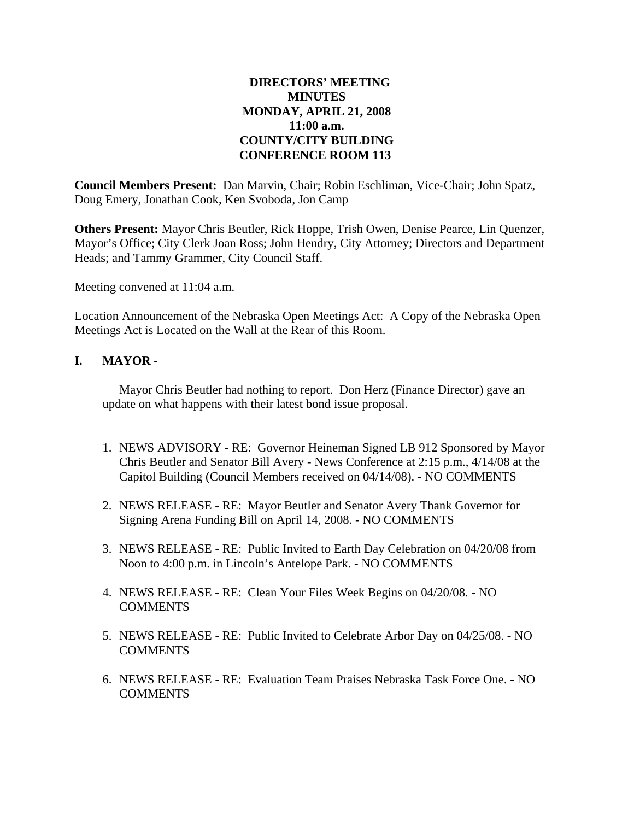# **DIRECTORS' MEETING MINUTES MONDAY, APRIL 21, 2008 11:00 a.m. COUNTY/CITY BUILDING CONFERENCE ROOM 113**

**Council Members Present:** Dan Marvin, Chair; Robin Eschliman, Vice-Chair; John Spatz, Doug Emery, Jonathan Cook, Ken Svoboda, Jon Camp

**Others Present:** Mayor Chris Beutler, Rick Hoppe, Trish Owen, Denise Pearce, Lin Quenzer, Mayor's Office; City Clerk Joan Ross; John Hendry, City Attorney; Directors and Department Heads; and Tammy Grammer, City Council Staff.

Meeting convened at 11:04 a.m.

Location Announcement of the Nebraska Open Meetings Act: A Copy of the Nebraska Open Meetings Act is Located on the Wall at the Rear of this Room.

### **I. MAYOR** -

Mayor Chris Beutler had nothing to report. Don Herz (Finance Director) gave an update on what happens with their latest bond issue proposal.

- 1. NEWS ADVISORY RE: Governor Heineman Signed LB 912 Sponsored by Mayor Chris Beutler and Senator Bill Avery - News Conference at 2:15 p.m., 4/14/08 at the Capitol Building (Council Members received on 04/14/08). - NO COMMENTS
- 2. NEWS RELEASE RE: Mayor Beutler and Senator Avery Thank Governor for Signing Arena Funding Bill on April 14, 2008. - NO COMMENTS
- 3. NEWS RELEASE RE: Public Invited to Earth Day Celebration on 04/20/08 from Noon to 4:00 p.m. in Lincoln's Antelope Park. - NO COMMENTS
- 4. NEWS RELEASE RE: Clean Your Files Week Begins on 04/20/08. NO COMMENTS
- 5. NEWS RELEASE RE: Public Invited to Celebrate Arbor Day on 04/25/08. NO COMMENTS
- 6. NEWS RELEASE RE: Evaluation Team Praises Nebraska Task Force One. NO **COMMENTS**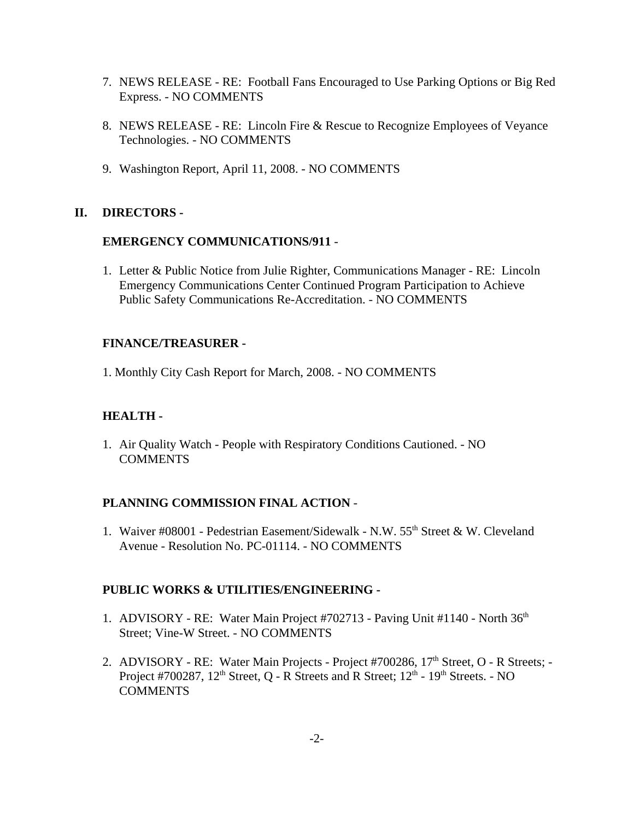- 7. NEWS RELEASE RE: Football Fans Encouraged to Use Parking Options or Big Red Express. - NO COMMENTS
- 8. NEWS RELEASE RE: Lincoln Fire & Rescue to Recognize Employees of Veyance Technologies. - NO COMMENTS
- 9. Washington Report, April 11, 2008. NO COMMENTS

### **II. DIRECTORS -**

#### **EMERGENCY COMMUNICATIONS/911** -

1. Letter & Public Notice from Julie Righter, Communications Manager - RE: Lincoln Emergency Communications Center Continued Program Participation to Achieve Public Safety Communications Re-Accreditation. - NO COMMENTS

#### **FINANCE/TREASURER -**

1. Monthly City Cash Report for March, 2008. - NO COMMENTS

### **HEALTH -**

1. Air Quality Watch - People with Respiratory Conditions Cautioned. - NO **COMMENTS** 

#### **PLANNING COMMISSION FINAL ACTION** -

1. Waiver #08001 - Pedestrian Easement/Sidewalk - N.W. 55<sup>th</sup> Street & W. Cleveland Avenue - Resolution No. PC-01114. - NO COMMENTS

#### **PUBLIC WORKS & UTILITIES/ENGINEERING -**

- 1. ADVISORY RE: Water Main Project #702713 Paving Unit #1140 North 36<sup>th</sup> Street; Vine-W Street. - NO COMMENTS
- 2. ADVISORY RE: Water Main Projects Project #700286, 17<sup>th</sup> Street, O R Streets; -Project #700287,  $12^{th}$  Street, Q - R Streets and R Street;  $12^{th}$  -  $19^{th}$  Streets. - NO **COMMENTS**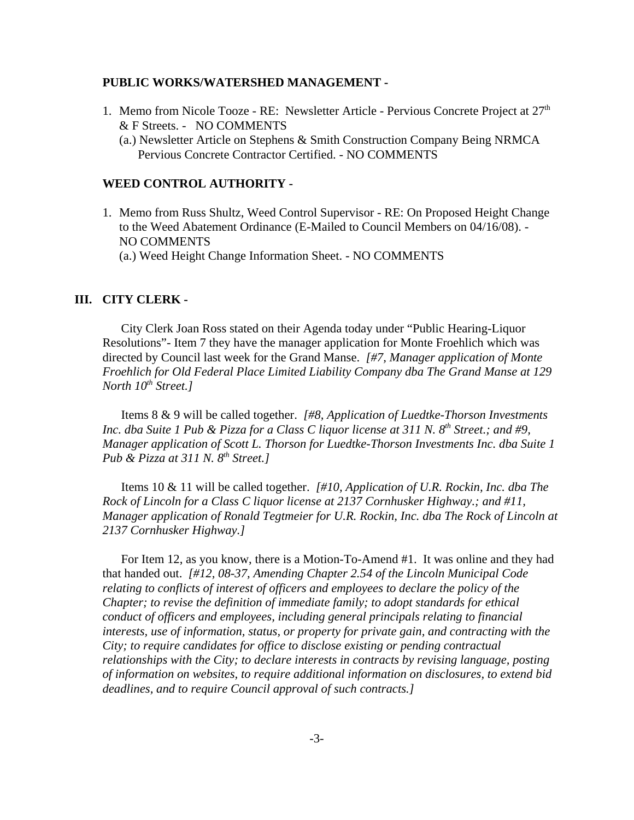#### **PUBLIC WORKS/WATERSHED MANAGEMENT -**

- 1. Memo from Nicole Tooze RE: Newsletter Article Pervious Concrete Project at  $27<sup>th</sup>$ & F Streets. - NO COMMENTS
	- (a.) Newsletter Article on Stephens & Smith Construction Company Being NRMCA Pervious Concrete Contractor Certified. - NO COMMENTS

#### **WEED CONTROL AUTHORITY -**

1. Memo from Russ Shultz, Weed Control Supervisor - RE: On Proposed Height Change to the Weed Abatement Ordinance (E-Mailed to Council Members on 04/16/08). - NO COMMENTS

(a.) Weed Height Change Information Sheet. - NO COMMENTS

#### **III. CITY CLERK -**

City Clerk Joan Ross stated on their Agenda today under "Public Hearing-Liquor Resolutions"- Item 7 they have the manager application for Monte Froehlich which was directed by Council last week for the Grand Manse. *[#7, Manager application of Monte Froehlich for Old Federal Place Limited Liability Company dba The Grand Manse at 129 North 10<sup>th</sup> Street.1* 

Items 8 & 9 will be called together. *[#8, Application of Luedtke-Thorson Investments Inc. dba Suite 1 Pub & Pizza for a Class C liquor license at 311 N. 8th Street.; and #9, Manager application of Scott L. Thorson for Luedtke-Thorson Investments Inc. dba Suite 1 Pub & Pizza at 311 N. 8th Street.]* 

Items 10 & 11 will be called together. *[#10, Application of U.R. Rockin, Inc. dba The Rock of Lincoln for a Class C liquor license at 2137 Cornhusker Highway.; and #11, Manager application of Ronald Tegtmeier for U.R. Rockin, Inc. dba The Rock of Lincoln at 2137 Cornhusker Highway.]* 

For Item 12, as you know, there is a Motion-To-Amend #1. It was online and they had that handed out. *[#12, 08-37, Amending Chapter 2.54 of the Lincoln Municipal Code relating to conflicts of interest of officers and employees to declare the policy of the Chapter; to revise the definition of immediate family; to adopt standards for ethical conduct of officers and employees, including general principals relating to financial interests, use of information, status, or property for private gain, and contracting with the City; to require candidates for office to disclose existing or pending contractual relationships with the City; to declare interests in contracts by revising language, posting of information on websites, to require additional information on disclosures, to extend bid deadlines, and to require Council approval of such contracts.]*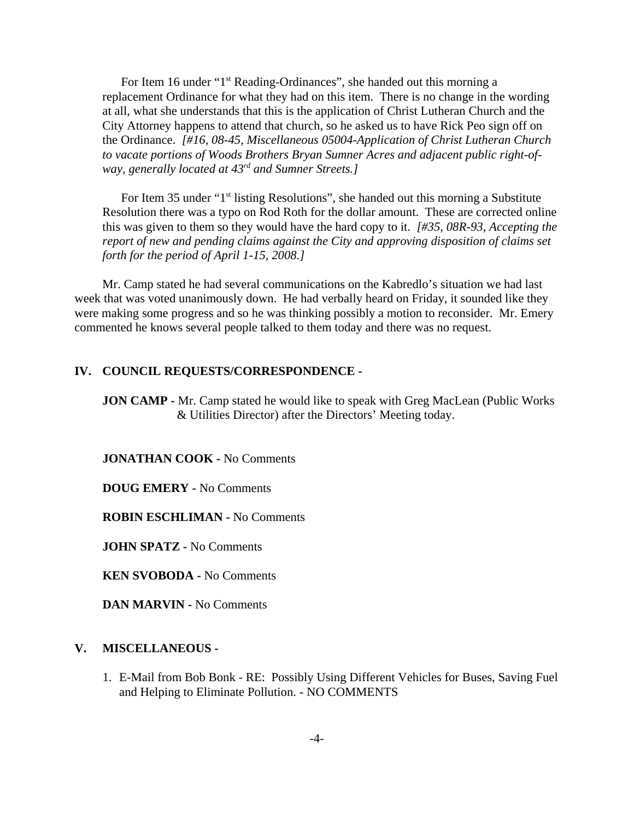For Item 16 under "1<sup>st</sup> Reading-Ordinances", she handed out this morning a replacement Ordinance for what they had on this item. There is no change in the wording at all, what she understands that this is the application of Christ Lutheran Church and the City Attorney happens to attend that church, so he asked us to have Rick Peo sign off on the Ordinance. *[#16, 08-45, Miscellaneous 05004-Application of Christ Lutheran Church to vacate portions of Woods Brothers Bryan Sumner Acres and adjacent public right-ofway, generally located at 43rd and Sumner Streets.]* 

For Item 35 under "1<sup>st</sup> listing Resolutions", she handed out this morning a Substitute Resolution there was a typo on Rod Roth for the dollar amount. These are corrected online this was given to them so they would have the hard copy to it. *[#35, 08R-93, Accepting the report of new and pending claims against the City and approving disposition of claims set forth for the period of April 1-15, 2008.]*

Mr. Camp stated he had several communications on the Kabredlo's situation we had last week that was voted unanimously down. He had verbally heard on Friday, it sounded like they were making some progress and so he was thinking possibly a motion to reconsider. Mr. Emery commented he knows several people talked to them today and there was no request.

#### **IV. COUNCIL REQUESTS/CORRESPONDENCE -**

**JON CAMP** - Mr. Camp stated he would like to speak with Greg MacLean (Public Works) & Utilities Director) after the Directors' Meeting today.

**JONATHAN COOK -** No Comments

**DOUG EMERY -** No Comments

**ROBIN ESCHLIMAN -** No Comments

**JOHN SPATZ -** No Comments

**KEN SVOBODA -** No Comments

**DAN MARVIN -** No Comments

#### **V. MISCELLANEOUS -**

1. E-Mail from Bob Bonk - RE: Possibly Using Different Vehicles for Buses, Saving Fuel and Helping to Eliminate Pollution. - NO COMMENTS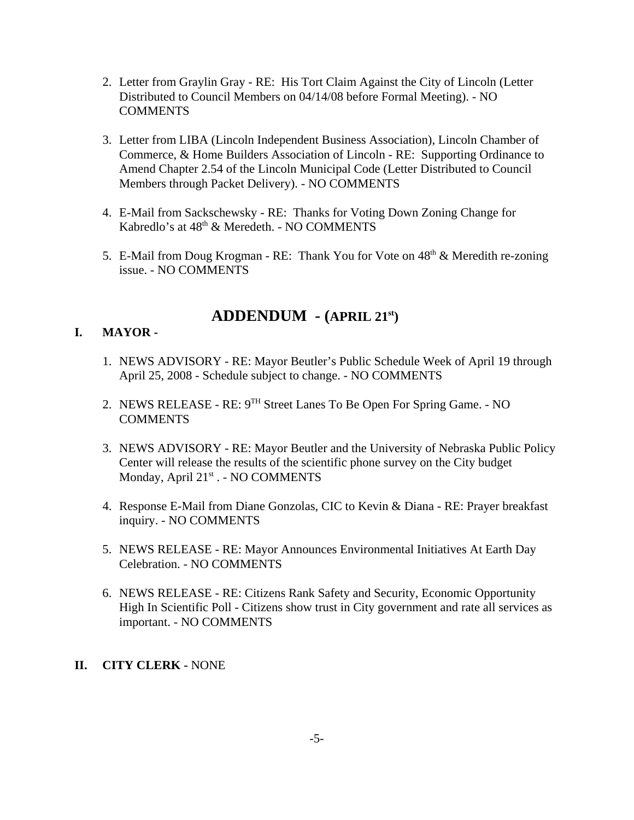- 2. Letter from Graylin Gray RE: His Tort Claim Against the City of Lincoln (Letter Distributed to Council Members on 04/14/08 before Formal Meeting). - NO COMMENTS
- 3. Letter from LIBA (Lincoln Independent Business Association), Lincoln Chamber of Commerce, & Home Builders Association of Lincoln - RE: Supporting Ordinance to Amend Chapter 2.54 of the Lincoln Municipal Code (Letter Distributed to Council Members through Packet Delivery). - NO COMMENTS
- 4. E-Mail from Sackschewsky RE: Thanks for Voting Down Zoning Change for Kabredlo's at 48<sup>th</sup> & Meredeth. - NO COMMENTS
- 5. E-Mail from Doug Krogman RE: Thank You for Vote on  $48<sup>th</sup>$  & Meredith re-zoning issue. - NO COMMENTS

# **ADDENDUM - (APRIL 21st)**

# **I. MAYOR -**

- 1. NEWS ADVISORY RE: Mayor Beutler's Public Schedule Week of April 19 through April 25, 2008 - Schedule subject to change. - NO COMMENTS
- 2. NEWS RELEASE RE: 9TH Street Lanes To Be Open For Spring Game. NO **COMMENTS**
- 3. NEWS ADVISORY RE: Mayor Beutler and the University of Nebraska Public Policy Center will release the results of the scientific phone survey on the City budget Monday, April 21st . - NO COMMENTS
- 4. Response E-Mail from Diane Gonzolas, CIC to Kevin & Diana RE: Prayer breakfast inquiry. - NO COMMENTS
- 5. NEWS RELEASE RE: Mayor Announces Environmental Initiatives At Earth Day Celebration. - NO COMMENTS
- 6. NEWS RELEASE RE: Citizens Rank Safety and Security, Economic Opportunity High In Scientific Poll - Citizens show trust in City government and rate all services as important. - NO COMMENTS

# **II. CITY CLERK -** NONE